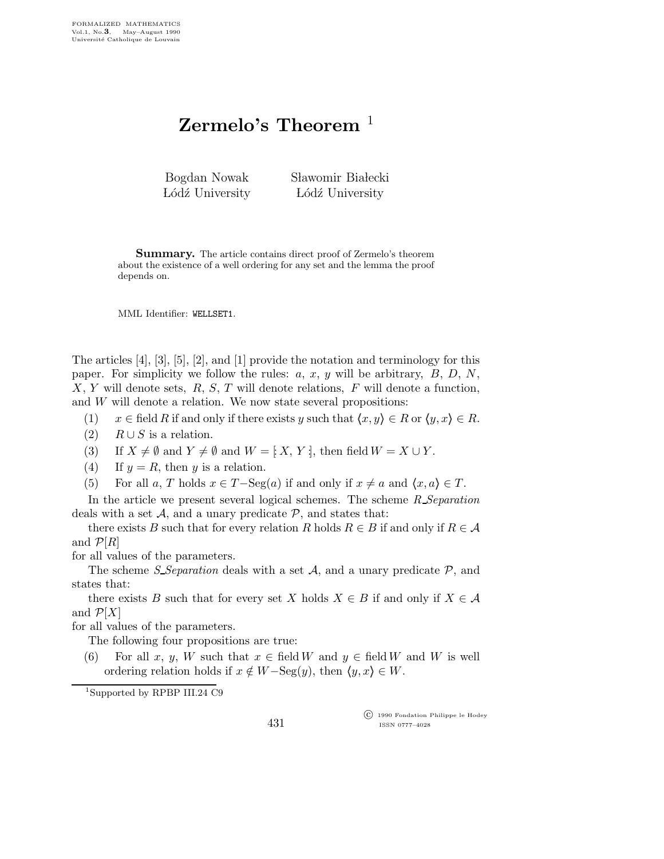## Zermelo's Theorem  $^1$

| Bogdan Nowak    | Sławomir Białecki |
|-----------------|-------------------|
| Lódź University | Lódź University   |

Summary. The article contains direct proof of Zermelo's theorem about the existence of a well ordering for any set and the lemma the proof depends on.

MML Identifier: WELLSET1.

The articles [4], [3], [5], [2], and [1] provide the notation and terminology for this paper. For simplicity we follow the rules:  $a, x, y$  will be arbitrary,  $B, D, N$ ,  $X, Y$  will denote sets,  $R, S, T$  will denote relations,  $F$  will denote a function, and W will denote a relation. We now state several propositions:

(1)  $x \in \text{field } R \text{ if and only if there exists } y \text{ such that } \langle x, y \rangle \in R \text{ or } \langle y, x \rangle \in R.$ 

- (2)  $R \cup S$  is a relation.
- (3) If  $X \neq \emptyset$  and  $Y \neq \emptyset$  and  $W = [X, Y]$ , then field  $W = X \cup Y$ .
- (4) If  $y = R$ , then y is a relation.
- (5) For all a, T holds  $x \in T$ -Seg(a) if and only if  $x \neq a$  and  $\langle x, a \rangle \in T$ .

In the article we present several logical schemes. The scheme  $R$  Separation deals with a set  $A$ , and a unary predicate  $P$ , and states that:

there exists B such that for every relation R holds  $R \in B$  if and only if  $R \in \mathcal{A}$ and  $\mathcal{P}[R]$ 

for all values of the parameters.

The scheme *S* Separation deals with a set  $A$ , and a unary predicate  $P$ , and states that:

there exists B such that for every set X holds  $X \in B$  if and only if  $X \in \mathcal{A}$ and  $\mathcal{P}[X]$ 

for all values of the parameters.

The following four propositions are true:

(6) For all x, y, W such that  $x \in \text{field } W$  and  $y \in \text{field } W$  and W is well ordering relation holds if  $x \notin W-\text{Seg}(y)$ , then  $\langle y, x \rangle \in W$ .

<sup>1</sup>Supported by RPBP III.24 C9

 c 1990 Fondation Philippe le Hodey ISSN 0777–4028